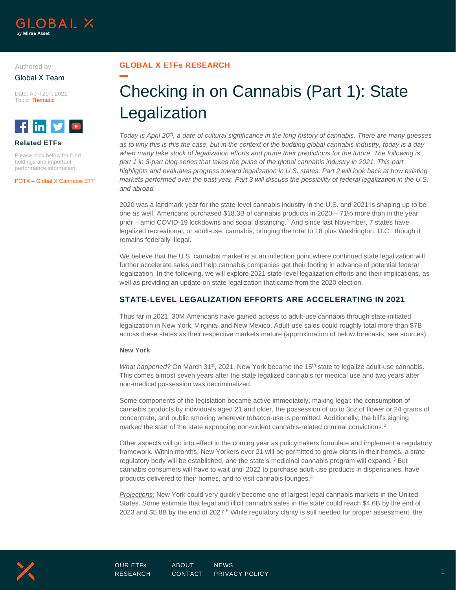

## Authored by: Global X Team

Date: April 20th, 2021 Topic: Thematic



### **Related ETFs**

Please click below for fund holdings and important performance information.

POTX – Global X Cannabis ETF

## **GLOBAL X ETFs RESEARCH**

# Checking in on Cannabis (Part 1): State Legalization

*Today is April 20th, a date of cultural significance in the long history of cannabis. There are many guesses as to why this is this the case, but in the context of the budding global cannabis industry, today is a day when many take stock of legalization efforts and prune their predictions for the future. The following is part 1 in 3-part blog series that takes the pulse of the global cannabis industry in 2021. This part highlights and evaluates progress toward legalization in U.S. states. Part 2 will look back at how existing markets performed over the past year. Part 3 will discuss the possibility of federal legalization in the U.S. and abroad.*

2020 was a landmark year for the state-level cannabis industry in the U.S. and 2021 is shaping up to be one as well. Americans purchased \$18.3B of cannabis products in 2020 – 71% more than in the year prior – amid COVID-19 lockdowns and social distancing. <sup>1</sup> And since last November, 7 states have legalized recreational, or adult-use, cannabis, bringing the total to 18 plus Washington, D.C., though it remains federally illegal.

We believe that the U.S. cannabis market is at an inflection point where continued state legalization will further accelerate sales and help cannabis companies get their footing in advance of potential federal legalization. In the following, we will explore 2021 state-level legalization efforts and their implications, as well as providing an update on state legalization that came from the 2020 election.

# **STATE-LEVEL LEGALIZATION EFFORTS ARE ACCELERATING IN 2021**

Thus far in 2021, 30M Americans have gained access to adult-use cannabis through state-initiated legalization in New York, Virginia, and New Mexico. Adult-use sales could roughly total more than \$7B across these states as their respective markets mature (approximation of below forecasts, see sources).

#### **New York**

*What happened?* On March 31<sup>st</sup>, 2021, New York became the 15<sup>th</sup> state to legalize adult-use cannabis. This comes almost seven years after the state legalized cannabis for medical use and two years after non-medical possession was decriminalized.

Some components of the legislation became active immediately, making legal: the consumption of cannabis products by individuals aged 21 and older, the possession of up to 3oz of flower or 24 grams of concentrate, and public smoking wherever tobacco-use is permitted. Additionally, the bill's signing marked the start of the state expunging non-violent cannabis-related criminal convictions.<sup>2</sup>

Other aspects will go into effect in the coming year as policymakers formulate and implement a regulatory framework. Within months, New Yorkers over 21 will be permitted to grow plants in their homes, a state regulatory body will be established, and the state's medicinal cannabis program will expand. <sup>3</sup> But cannabis consumers will have to wait until 2022 to purchase adult-use products in dispensaries, have products delivered to their homes, and to visit cannabis lounges.<sup>4</sup>

*Projections:* New York could very quickly become one of largest legal cannabis markets in the United States. Some estimate that legal and illicit cannabis sales in the state could reach \$4.6B by the end of 2023 and \$5.8B by the end of 2027.<sup>5</sup> While regulatory clarity is still needed for proper assessment, the

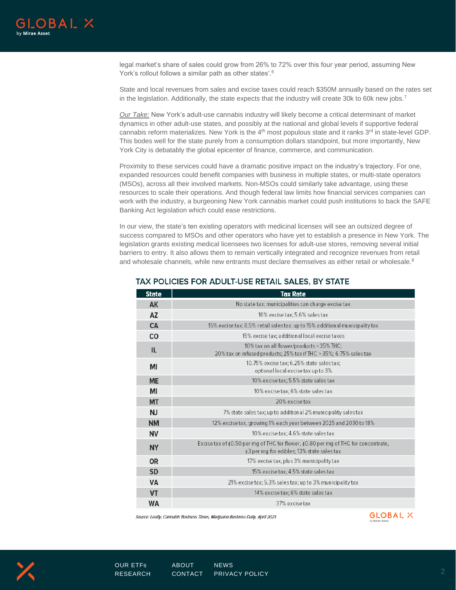

legal market's share of sales could grow from 26% to 72% over this four year period, assuming New York's rollout follows a similar path as other states'. 6

State and local revenues from sales and excise taxes could reach \$350M annually based on the rates set in the legislation. Additionally, the state expects that the industry will create 30k to 60k new jobs.<sup>7</sup>

*Our Take:* New York's adult-use cannabis industry will likely become a critical determinant of market dynamics in other adult-use states, and possibly at the national and global levels if supportive federal cannabis reform materializes. New York is the  $4<sup>th</sup>$  most populous state and it ranks  $3<sup>rd</sup>$  in state-level GDP. This bodes well for the state purely from a consumption dollars standpoint, but more importantly, New York City is debatably the global epicenter of finance, commerce, and communication.

Proximity to these services could have a dramatic positive impact on the industry's trajectory. For one, expanded resources could benefit companies with business in multiple states, or multi-state operators (MSOs), across all their involved markets. Non-MSOs could similarly take advantage, using these resources to scale their operations. And though federal law limits how financial services companies can work with the industry, a burgeoning New York cannabis market could push institutions to back the SAFE Banking Act legislation which could ease restrictions.

In our view, the state's ten existing operators with medicinal licenses will see an outsized degree of success compared to MSOs and other operators who have yet to establish a presence in New York. The legislation grants existing medical licensees two licenses for adult-use stores, removing several initial barriers to entry. It also allows them to remain vertically integrated and recognize revenues from retail and wholesale channels, while new entrants must declare themselves as either retail or wholesale. $8$ 

| <b>State</b> | <b>Tax Rate</b>                                                                                                                                      |
|--------------|------------------------------------------------------------------------------------------------------------------------------------------------------|
| AK           | No state tax; municipalities can charge excise tax                                                                                                   |
| AZ           | 16% excise tax: 5.6% sales tax                                                                                                                       |
| CA           | 15% excise tax; 8.5% retail sales tax; up to 15% additional municipality tax                                                                         |
| <b>CO</b>    | 15% excise tax; additional local excise taxes                                                                                                        |
| IL           | 10% tax on all flower/products > 35% THC;<br>20% tax on infused products; 25% tax if THC > 35%; 6.75% sales tax                                      |
| ΜI           | 10.75% excise tax; 6.25% state sales tax;<br>optional local excise tax up to 3%                                                                      |
| <b>ME</b>    | 10% excise tax: 5.5% state sales tax                                                                                                                 |
| ΜI           | 10% excise tax; 6% state sales tax                                                                                                                   |
| МT           | 20% excise tax                                                                                                                                       |
| ΝJ           | 7% state sales tax; up to additional 2% municipality sales tax                                                                                       |
| <b>NM</b>    | 12% excise tax, growing 1% each year between 2025 and 2030 to 18%                                                                                    |
| <b>NV</b>    | 10% excise tax: 4.6% state sales tax                                                                                                                 |
| <b>NY</b>    | Excise tax of $\epsilon$ 0.50 per mg of THC for flower, $\epsilon$ 0.80 per mg of THC for concentrate,<br>¢3 per mg for edibles; 13% state sales tax |
| <b>OR</b>    | 17% excise tax, plus 3% municipality tax                                                                                                             |
| <b>SD</b>    | 15% excise tax: 4.5% state sales tax                                                                                                                 |
| VA           | 21% excise tax; 5.3% sales tax; up to 3% municipality tax                                                                                            |
| VT           | 14% excise tax; 6% state sales tax                                                                                                                   |
| WA           | 37% excise tax                                                                                                                                       |

## TAX POLICIES FOR ADULT-USE RETAIL SALES, BY STATE

Source: Leafly, Cannabis Business Times, Marijuana Business Daily, April 2021.

**GLOBAL X** 

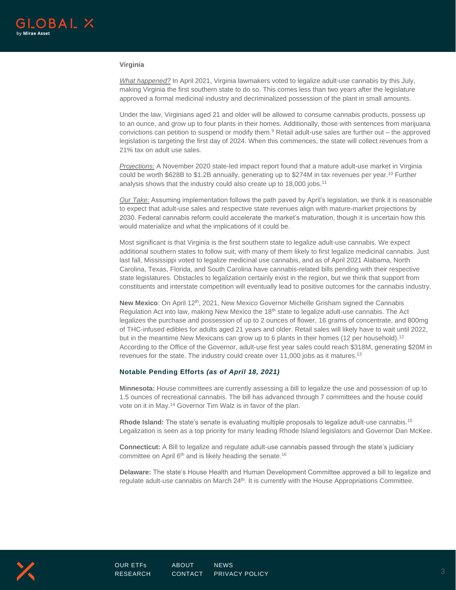

#### **Virginia**

*What happened?* In April 2021, Virginia lawmakers voted to legalize adult-use cannabis by this July, making Virginia the first southern state to do so. This comes less than two years after the legislature approved a formal medicinal industry and decriminalized possession of the plant in small amounts.

Under the law, Virginians aged 21 and older will be allowed to consume cannabis products, possess up to an ounce, and grow up to four plants in their homes. Additionally, those with sentences from marijuana convictions can petition to suspend or modify them.<sup>9</sup> Retail adult-use sales are further out – the approved legislation is targeting the first day of 2024. When this commences, the state will collect revenues from a 21% tax on adult use sales.

*Projections:* A November 2020 state-led impact report found that a mature adult-use market in Virginia could be worth \$628B to \$1.2B annually, generating up to \$274M in tax revenues per year.<sup>10</sup> Further analysis shows that the industry could also create up to 18,000 jobs.<sup>11</sup>

*Our Take:* Assuming implementation follows the path paved by April's legislation, we think it is reasonable to expect that adult-use sales and respective state revenues align with mature-market projections by 2030. Federal cannabis reform could accelerate the market's maturation, though it is uncertain how this would materialize and what the implications of it could be.

Most significant is that Virginia is the first southern state to legalize adult-use cannabis. We expect additional southern states to follow suit, with many of them likely to first legalize medicinal cannabis. Just last fall, Mississippi voted to legalize medicinal use cannabis, and as of April 2021 Alabama, North Carolina, Texas, Florida, and South Carolina have cannabis-related bills pending with their respective state legislatures. Obstacles to legalization certainly exist in the region, but we think that support from constituents and interstate competition will eventually lead to positive outcomes for the cannabis industry.

**New Mexico:** On April 12<sup>th</sup>, 2021, New Mexico Governor Michelle Grisham signed the Cannabis Regulation Act into law, making New Mexico the  $18<sup>th</sup>$  state to legalize adult-use cannabis. The Act legalizes the purchase and possession of up to 2 ounces of flower, 16 grams of concentrate, and 800mg of THC-infused edibles for adults aged 21 years and older. Retail sales will likely have to wait until 2022, but in the meantime New Mexicans can grow up to 6 plants in their homes (12 per household).<sup>12</sup> According to the Office of the Governor, adult-use first year sales could reach \$318M, generating \$20M in revenues for the state. The industry could create over 11,000 jobs as it matures.<sup>13</sup>

#### **Notable Pending Efforts** *(as of April 18, 2021)*

**Minnesota:** House committees are currently assessing a bill to legalize the use and possession of up to 1.5 ounces of recreational cannabis. The bill has advanced through 7 committees and the house could vote on it in May.<sup>14</sup> Governor Tim Walz is in favor of the plan.

**Rhode Island:** The state's senate is evaluating multiple proposals to legalize adult-use cannabis.<sup>15</sup> Legalization is seen as a top priority for many leading Rhode Island legislators and Governor Dan McKee.

**Connecticut:** A Bill to legalize and regulate adult-use cannabis passed through the state's judiciary committee on April  $6<sup>th</sup>$  and is likely heading the senate.<sup>16</sup>

**Delaware:** The state's House Health and Human Development Committee approved a bill to legalize and regulate adult-use cannabis on March  $24<sup>th</sup>$ . It is currently with the House Appropriations Committee.

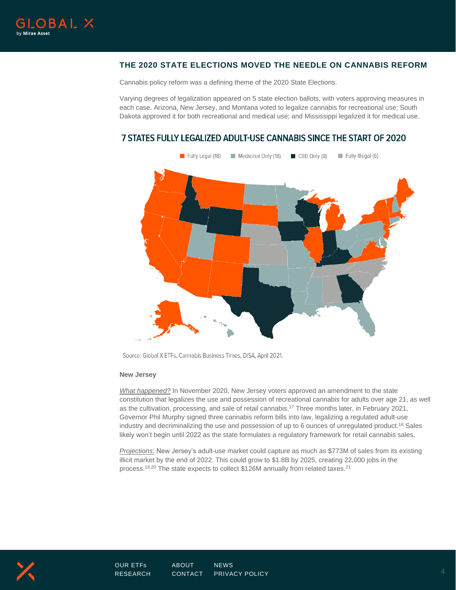

# **THE 2020 STATE ELECTIONS MOVED THE NEEDLE ON CANNABIS REFORM**

Cannabis policy reform was a defining theme of the 2020 State Elections.

Varying degrees of legalization appeared on 5 state election ballots, with voters approving measures in each case. Arizona, New Jersey, and Montana voted to legalize cannabis for recreational use; South Dakota approved it for both recreational and medical use; and Mississippi legalized it for medical use.

# 7 STATES FULLY LEGALIZED ADULT-USE CANNABIS SINCE THE START OF 2020



Source: Global X ETFs, Cannabis Business Times, DISA, April 2021.

#### **New Jersey**

*What happened?* In November 2020, New Jersey voters approved an amendment to the state constitution that legalizes the use and possession of recreational cannabis for adults over age 21, as well as the cultivation, processing, and sale of retail cannabis. <sup>17</sup> Three months later, in February 2021, Governor Phil Murphy signed three cannabis reform bills into law, legalizing a regulated adult-use industry and decriminalizing the use and possession of up to 6 ounces of unregulated product.<sup>18</sup> Sales likely won't begin until 2022 as the state formulates a regulatory framework for retail cannabis sales.

*Projections:* New Jersey's adult-use market could capture as much as \$773M of sales from its existing illicit market by the end of 2022. This could grow to \$1.8B by 2025, creating 22,000 jobs in the process.<sup>19,20</sup> The state expects to collect \$126M annually from related taxes.<sup>21</sup>

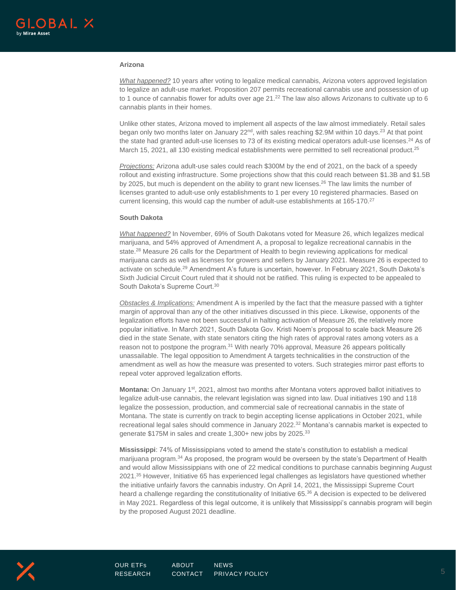#### **Arizona**

*What happened?* 10 years after voting to legalize medical cannabis, Arizona voters approved legislation to legalize an adult-use market. Proposition 207 permits recreational cannabis use and possession of up to 1 ounce of cannabis flower for adults over age 21.<sup>22</sup> The law also allows Arizonans to cultivate up to 6 cannabis plants in their homes.

Unlike other states, Arizona moved to implement all aspects of the law almost immediately. Retail sales began only two months later on January 22<sup>nd</sup>, with sales reaching \$2.9M within 10 days.<sup>23</sup> At that point the state had granted adult-use licenses to 73 of its existing medical operators adult-use licenses.<sup>24</sup> As of March 15, 2021, all 130 existing medical establishments were permitted to sell recreational product.<sup>25</sup>

*Projections:* Arizona adult-use sales could reach \$300M by the end of 2021, on the back of a speedy rollout and existing infrastructure. Some projections show that this could reach between \$1.3B and \$1.5B by 2025, but much is dependent on the ability to grant new licenses.<sup>26</sup> The law limits the number of licenses granted to adult-use only establishments to 1 per every 10 registered pharmacies. Based on current licensing, this would cap the number of adult-use establishments at 165-170.<sup>27</sup>

#### **South Dakota**

*What happened?* In November, 69% of South Dakotans voted for Measure 26, which legalizes medical marijuana, and 54% approved of Amendment A, a proposal to legalize recreational cannabis in the state.<sup>28</sup> Measure 26 calls for the Department of Health to begin reviewing applications for medical marijuana cards as well as licenses for growers and sellers by January 2021. Measure 26 is expected to activate on schedule.<sup>29</sup> Amendment A's future is uncertain, however. In February 2021, South Dakota's Sixth Judicial Circuit Court ruled that it should not be ratified. This ruling is expected to be appealed to South Dakota's Supreme Court.<sup>30</sup>

*Obstacles & Implications:* Amendment A is imperiled by the fact that the measure passed with a tighter margin of approval than any of the other initiatives discussed in this piece. Likewise, opponents of the legalization efforts have not been successful in halting activation of Measure 26, the relatively more popular initiative. In March 2021, South Dakota Gov. Kristi Noem's proposal to scale back Measure 26 died in the state Senate, with state senators citing the high rates of approval rates among voters as a reason not to postpone the program.<sup>31</sup> With nearly 70% approval, Measure 26 appears politically unassailable. The legal opposition to Amendment A targets technicalities in the construction of the amendment as well as how the measure was presented to voters. Such strategies mirror past efforts to repeal voter approved legalization efforts.

**Montana:** On January 1st, 2021, almost two months after Montana voters approved ballot initiatives to legalize adult-use cannabis, the relevant legislation was signed into law. Dual initiatives 190 and 118 legalize the possession, production, and commercial sale of recreational cannabis in the state of Montana. The state is currently on track to begin accepting license applications in October 2021, while recreational legal sales should commence in January 2022.<sup>32</sup> Montana's cannabis market is expected to generate \$175M in sales and create 1,300+ new jobs by 2025.<sup>33</sup>

**Mississippi**: 74% of Mississippians voted to amend the state's constitution to establish a medical marijuana program.<sup>34</sup> As proposed, the program would be overseen by the state's Department of Health and would allow Mississippians with one of 22 medical conditions to purchase cannabis beginning August 2021.<sup>35</sup> However, Initiative 65 has experienced legal challenges as legislators have questioned whether the initiative unfairly favors the cannabis industry. On April 14, 2021, the Mississippi Supreme Court heard a challenge regarding the constitutionality of Initiative 65.<sup>36</sup> A decision is expected to be delivered in May 2021. Regardless of this legal outcome, it is unlikely that Mississippi's cannabis program will begin by the proposed August 2021 deadline.

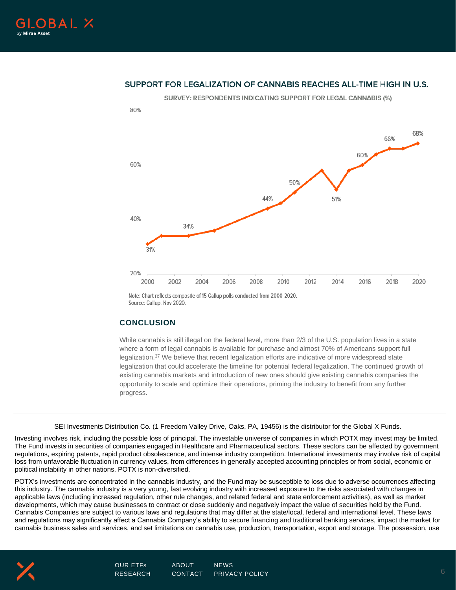

## SUPPORT FOR LEGALIZATION OF CANNABIS REACHES ALL-TIME HIGH IN U.S.



Note: Chart reflects composite of 15 Gallup polls conducted from 2000-2020. Source: Gallup, Nov 2020.

## **CONCLUSION**

While cannabis is still illegal on the federal level, more than  $2/3$  of the U.S. population lives in a state where a form of legal cannabis is available for purchase and almost 70% of Americans support full legalization.<sup>37</sup> We believe that recent legalization efforts are indicative of more widespread state legalization that could accelerate the timeline for potential federal legalization. The continued growth of existing cannabis markets and introduction of new ones should give existing cannabis companies the opportunity to scale and optimize their operations, priming the industry to benefit from any further progress.

SEI Investments Distribution Co. (1 Freedom Valley Drive, Oaks, PA, 19456) is the distributor for the Global X Funds.

Investing involves risk, including the possible loss of principal. The investable universe of companies in which POTX may invest may be limited. The Fund invests in securities of companies engaged in Healthcare and Pharmaceutical sectors. These sectors can be affected by government regulations, expiring patents, rapid product obsolescence, and intense industry competition. International investments may involve risk of capital loss from unfavorable fluctuation in currency values, from differences in generally accepted accounting principles or from social, economic or political instability in other nations. POTX is non-diversified.

POTX's investments are concentrated in the cannabis industry, and the Fund may be susceptible to loss due to adverse occurrences affecting this industry. The cannabis industry is a very young, fast evolving industry with increased exposure to the risks associated with changes in applicable laws (including increased regulation, other rule changes, and related federal and state enforcement activities), as well as market developments, which may cause businesses to contract or close suddenly and negatively impact the value of securities held by the Fund. Cannabis Companies are subject to various laws and regulations that may differ at the state/local, federal and international level. These laws and regulations may significantly affect a Cannabis Company's ability to secure financing and traditional banking services, impact the market for cannabis business sales and services, and set limitations on cannabis use, production, transportation, export and storage. The possession, use

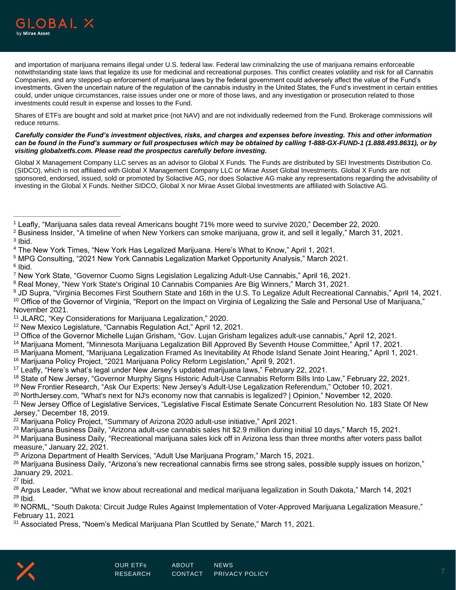

and importation of marijuana remains illegal under U.S. federal law. Federal law criminalizing the use of marijuana remains enforceable notwithstanding state laws that legalize its use for medicinal and recreational purposes. This conflict creates volatility and risk for all Cannabis Companies, and any stepped-up enforcement of marijuana laws by the federal government could adversely affect the value of the Fund's investments. Given the uncertain nature of the regulation of the cannabis industry in the United States, the Fund's investment in certain entities could, under unique circumstances, raise issues under one or more of those laws, and any investigation or prosecution related to those investments could result in expense and losses to the Fund.

Shares of ETFs are bought and sold at market price (not NAV) and are not individually redeemed from the Fund. Brokerage commissions will reduce returns.

*Carefully consider the Fund's investment objectives, risks, and charges and expenses before investing. This and other information can be found in the Fund's summary or full prospectuses which may be obtained by calling 1-888-GX-FUND-1 (1.888.493.8631), or by visiting globalxetfs.com. Please read the prospectus carefully before investing.*

Global X Management Company LLC serves as an advisor to Global X Funds. The Funds are distributed by SEI Investments Distribution Co. (SIDCO), which is not affiliated with Global X Management Company LLC or Mirae Asset Global Investments. Global X Funds are not sponsored, endorsed, issued, sold or promoted by Solactive AG, nor does Solactive AG make any representations regarding the advisability of investing in the Global X Funds. Neither SIDCO, Global X nor Mirae Asset Global Investments are affiliated with Solactive AG.

<sup>3</sup> Ibid.

- <sup>5</sup> MPG Consulting, "2021 New York Cannabis Legalization Market Opportunity Analysis," March 2021.
- <sup>6</sup> Ibid.

<sup>7</sup> New York State, "Governor Cuomo Signs Legislation Legalizing Adult-Use Cannabis," April 16, 2021.

<sup>9</sup> JD Supra, "Virginia Becomes First Southern State and 16th in the U.S. To Legalize Adult Recreational Cannabis," April 14, 2021. <sup>10</sup> Office of the Governor of Virginia, "Report on the Impact on Virginia of Legalizing the Sale and Personal Use of Marijuana," November 2021.

- <sup>13</sup> Office of the Governor Michelle Lujan Grisham, "Gov. Lujan Grisham legalizes adult-use cannabis," April 12, 2021.
- <sup>14</sup> Marijuana Moment, "Minnesota Marijuana Legalization Bill Approved By Seventh House Committee," April 17, 2021.
- <sup>15</sup> Marijuana Moment, "Marijuana Legalization Framed As Inevitability At Rhode Island Senate Joint Hearing," April 1, 2021.
- <sup>16</sup> Marijuana Policy Project, "2021 Marijuana Policy Reform Legislation," April 9, 2021.
- <sup>17</sup> Leafly, "Here's what's legal under New Jersey's updated marijuana laws," February 22, 2021.
- <sup>18</sup> State of New Jersey, "Governor Murphy Signs Historic Adult-Use Cannabis Reform Bills Into Law," February 22, 2021.
- <sup>19</sup> New Frontier Research, "Ask Our Experts: New Jersey's Adult-Use Legalization Referendum," October 10, 2021.
- <sup>20</sup> NorthJersey.com, "What's next for NJ's economy now that cannabis is legalized? | Opinion," November 12, 2020.
- <sup>21</sup> New Jersey Office of Legislative Services, "Legislative Fiscal Estimate Senate Concurrent Resolution No. 183 State Of New Jersey," December 18, 2019.
- <sup>22</sup> Marijuana Policy Project, "Summary of Arizona 2020 adult-use initiative," April 2021.
- <sup>23</sup> Marijuana Business Daily, "Arizona adult-use cannabis sales hit \$2.9 million during initial 10 days," March 15, 2021.

<sup>24</sup> Marijuana Business Daily, "Recreational marijuana sales kick off in Arizona less than three months after voters pass ballot measure," January 22, 2021.

 $25$  Arizona Department of Health Services, "Adult Use Marijuana Program," March 15, 2021.

 $26$  Marijuana Business Daily, "Arizona's new recreational cannabis firms see strong sales, possible supply issues on horizon," January 29, 2021.

 $27$  Ibid.

<sup>28</sup> Argus Leader, "What we know about recreational and medical marijuana legalization in South Dakota," March 14, 2021  $29$  Ibid.

<sup>30</sup> NORML, "South Dakota: Circuit Judge Rules Against Implementation of Voter-Approved Marijuana Legalization Measure," February 11, 2021

<sup>31</sup> Associated Press, "Noem's Medical Marijuana Plan Scuttled by Senate," March 11, 2021.



<sup>1</sup> Leafly, "Marijuana sales data reveal Americans bought 71% more weed to survive 2020," December 22, 2020.

 $2$  Business Insider, "A timeline of when New Yorkers can smoke marijuana, grow it, and sell it legally," March 31, 2021.

<sup>4</sup> The New York Times, "New York Has Legalized Marijuana. Here's What to Know," April 1, 2021.

<sup>&</sup>lt;sup>8</sup> Real Money, "New York State's Original 10 Cannabis Companies Are Big Winners," March 31, 2021.

<sup>11</sup> JLARC, "Key Considerations for Marijuana Legalization," 2020.

<sup>&</sup>lt;sup>12</sup> New Mexico Legislature, "Cannabis Regulation Act," April 12, 2021.